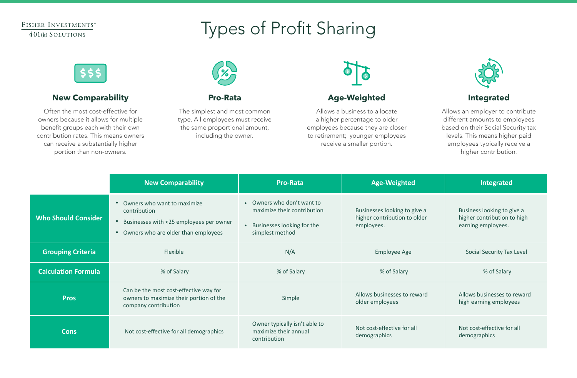### FISHER INVESTMENTS® 401(k) SOLUTIONS

# Types of Profit Sharing



### **New Comparability**

Often the most cost-effective for owners because it allows for multiple benefit groups each with their own contribution rates. This means owners can receive a substantially higher portion than non-owners.



#### **Pro-Rata**

The simplest and most common type. All employees must receive the same proportional amount, including the owner.



### **Age-Weighted**

Allows a business to allocate a higher percentage to older employees because they are closer to retirement; younger employees receive a smaller portion.



### **Integrated**

Allows an employer to contribute different amounts to employees based on their Social Security tax levels. This means higher paid employees typically receive a higher contribution.

|                            | <b>New Comparability</b>                                                                                                                                             | <b>Pro-Rata</b>                                                                                              | <b>Age-Weighted</b>                                                        | <b>Integrated</b>                                                               |
|----------------------------|----------------------------------------------------------------------------------------------------------------------------------------------------------------------|--------------------------------------------------------------------------------------------------------------|----------------------------------------------------------------------------|---------------------------------------------------------------------------------|
| <b>Who Should Consider</b> | Owners who want to maximize<br>$\bullet$<br>contribution<br>Businesses with <25 employees per owner<br>$\bullet$<br>Owners who are older than employees<br>$\bullet$ | • Owners who don't want to<br>maximize their contribution<br>• Businesses looking for the<br>simplest method | Businesses looking to give a<br>higher contribution to older<br>employees. | Business looking to give a<br>higher contribution to high<br>earning employees. |
| <b>Grouping Criteria</b>   | Flexible                                                                                                                                                             | N/A                                                                                                          | <b>Employee Age</b>                                                        | Social Security Tax Level                                                       |
| <b>Calculation Formula</b> | % of Salary                                                                                                                                                          | % of Salary                                                                                                  | % of Salary                                                                | % of Salary                                                                     |
| <b>Pros</b>                | Can be the most cost-effective way for<br>owners to maximize their portion of the<br>company contribution                                                            | Simple                                                                                                       | Allows businesses to reward<br>older employees                             | Allows businesses to reward<br>high earning employees                           |
| <b>Cons</b>                | Not cost-effective for all demographics                                                                                                                              | Owner typically isn't able to<br>maximize their annual<br>contribution                                       | Not cost-effective for all<br>demographics                                 | Not cost-effective for all<br>demographics                                      |